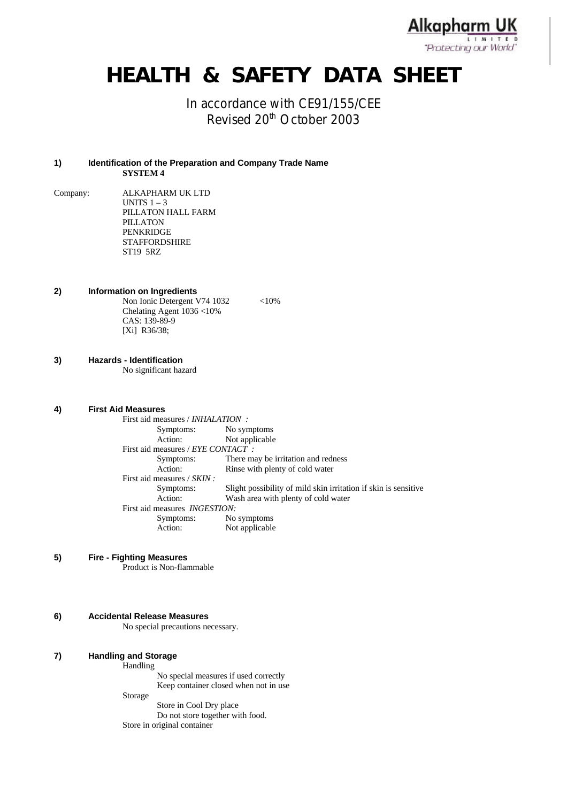**Alkapharm UK LIMITED** "Protecting our World"

# **HEALTH & SAFETY DATA SHEET**

## In accordance with CE91/155/CEE Revised 20<sup>th</sup> October 2003

#### **1) Identification of the Preparation and Company Trade Name SYSTEM 4**

- Company: ALKAPHARM UK LTD UNITS  $1 - 3$ PILLATON HALL FARM PILLATON PENKRIDGE **STAFFORDSHIRE** ST19 5RZ
- **2) Information on Ingredients** Non Ionic Detergent V74 1032 <10% Chelating Agent 1036 <10% CAS: 139-89-9 [Xi] R36/38;
- **3) Hazards Identification**

No significant hazard

**4) First Aid Measures**

| First aid measures / <i>INHALATION</i> :  |                                                                 |  |
|-------------------------------------------|-----------------------------------------------------------------|--|
| Symptoms:                                 | No symptoms                                                     |  |
| Action:                                   | Not applicable                                                  |  |
| First aid measures / <i>EYE CONTACT</i> : |                                                                 |  |
| Symptoms:                                 | There may be irritation and redness                             |  |
| Action:                                   | Rinse with plenty of cold water                                 |  |
| First aid measures / SKIN :               |                                                                 |  |
| Symptoms:                                 | Slight possibility of mild skin irritation if skin is sensitive |  |
| Action:                                   | Wash area with plenty of cold water                             |  |
| First aid measures <i>INGESTION</i> :     |                                                                 |  |
| Symptoms:                                 | No symptoms                                                     |  |
| Action:                                   | Not applicable                                                  |  |

**5) Fire - Fighting Measures**

Product is Non-flammable

**6) Accidental Release Measures**

No special precautions necessary.

| 7) | <b>Handling and Storage</b> |  |  |
|----|-----------------------------|--|--|
|----|-----------------------------|--|--|

**Handling** 

No special measures if used correctly Keep container closed when not in use

Storage

Store in Cool Dry place Do not store together with food. Store in original container